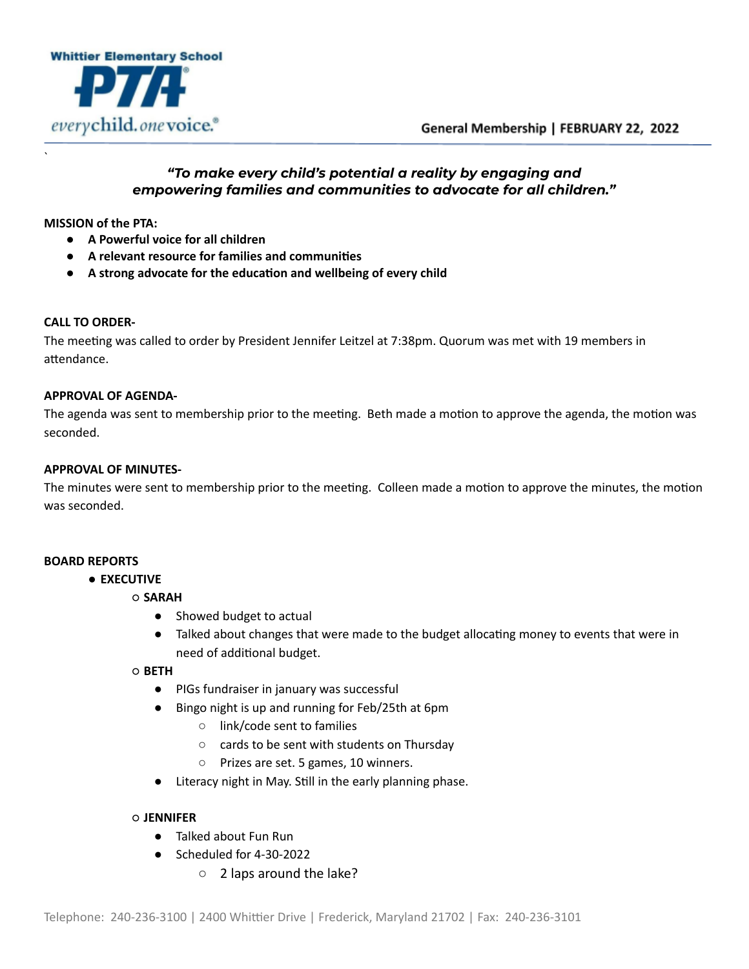



## *"To make every child's potential a reality by engaging and empowering families and communities to advocate for all children."*

**MISSION of the PTA:**

`

- **● A Powerful voice for all children**
- **● A relevant resource for families and communies**
- **● A strong advocate for the educaon and wellbeing of every child**

### **CALL TO ORDER-**

The meeting was called to order by President Jennifer Leitzel at 7:38pm. Quorum was met with 19 members in attendance.

### **APPROVAL OF AGENDA-**

The agenda was sent to membership prior to the meeting. Beth made a motion to approve the agenda, the motion was seconded.

### **APPROVAL OF MINUTES-**

The minutes were sent to membership prior to the meeting. Colleen made a motion to approve the minutes, the motion was seconded.

### **BOARD REPORTS**

- **EXECUTIVE**
	- **SARAH**
		- Showed budget to actual
		- Talked about changes that were made to the budget allocating money to events that were in need of additional budget.

### ○ **BETH**

- PIGs fundraiser in january was successful
- Bingo night is up and running for Feb/25th at 6pm
	- link/code sent to families
	- cards to be sent with students on Thursday
	- Prizes are set. 5 games, 10 winners.
- Literacy night in May. Still in the early planning phase.

### ○ **JENNIFER**

- Talked about Fun Run
- Scheduled for 4-30-2022
	- 2 laps around the lake?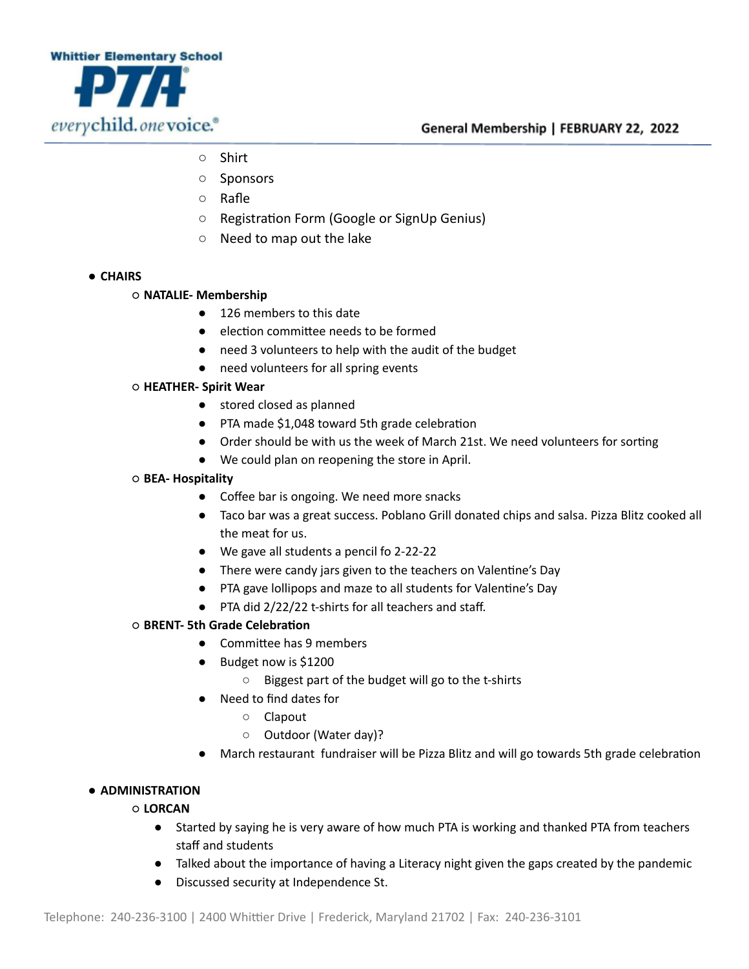

- Shirt
- Sponsors
- Rafle
- Registration Form (Google or SignUp Genius)
- Need to map out the lake
- **CHAIRS**
	- **NATALIE- Membership**
		- 126 members to this date
		- election committee needs to be formed
		- need 3 volunteers to help with the audit of the budget
		- need volunteers for all spring events

## ○ **HEATHER- Spirit Wear**

- stored closed as planned
- PTA made \$1,048 toward 5th grade celebration
- Order should be with us the week of March 21st. We need volunteers for sorting
- We could plan on reopening the store in April.
- **BEA- Hospitality**
	- Coffee bar is ongoing. We need more snacks
	- Taco bar was a great success. Poblano Grill donated chips and salsa. Pizza Blitz cooked all the meat for us.
	- We gave all students a pencil fo 2-22-22
	- There were candy jars given to the teachers on Valentine's Day
	- PTA gave lollipops and maze to all students for Valentine's Day
	- PTA did 2/22/22 t-shirts for all teachers and staff.

# $\circ$  **BRENT-** 5th Grade Celebration

- Committee has 9 members
- Budget now is \$1200
	- Biggest part of the budget will go to the t-shirts
- Need to find dates for
	- Clapout
	- Outdoor (Water day)?
- March restaurant fundraiser will be Pizza Blitz and will go towards 5th grade celebration

### ● **ADMINISTRATION**

### ○ **LORCAN**

- Started by saying he is very aware of how much PTA is working and thanked PTA from teachers staff and students
- Talked about the importance of having a Literacy night given the gaps created by the pandemic
- Discussed security at Independence St.